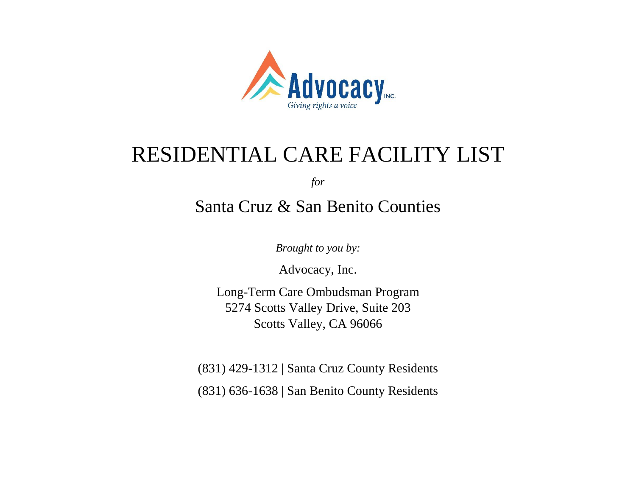

# RESIDENTIAL CARE FACILITY LIST

*for* 

# Santa Cruz & San Benito Counties

*Brought to you by:*

Advocacy, Inc.

Long-Term Care Ombudsman Program 5274 Scotts Valley Drive, Suite 203 Scotts Valley, CA 96066

(831) 429-1312 | Santa Cruz County Residents

(831) 636-1638 | San Benito County Residents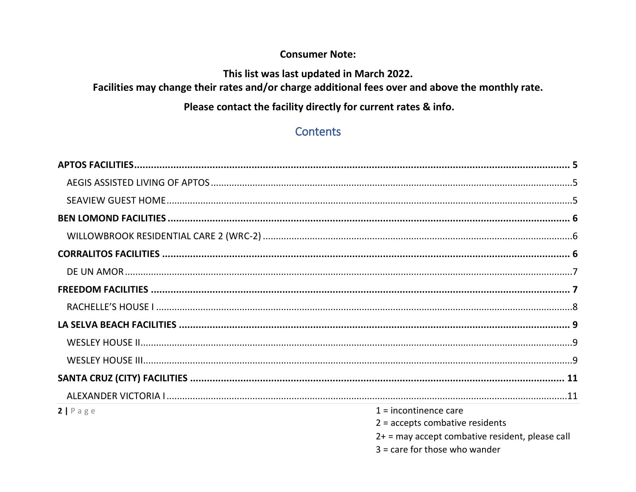#### **Consumer Note:**

#### This list was last updated in March 2022.

#### Facilities may change their rates and/or charge additional fees over and above the monthly rate.

#### Please contact the facility directly for current rates & info.

## **Contents**

| $2$   Page | $1 =$ incontinence care                           |
|------------|---------------------------------------------------|
|            | $2$ = accepts combative residents                 |
|            | $2+$ = may accept combative resident, please call |
|            | $3 =$ care for those who wander                   |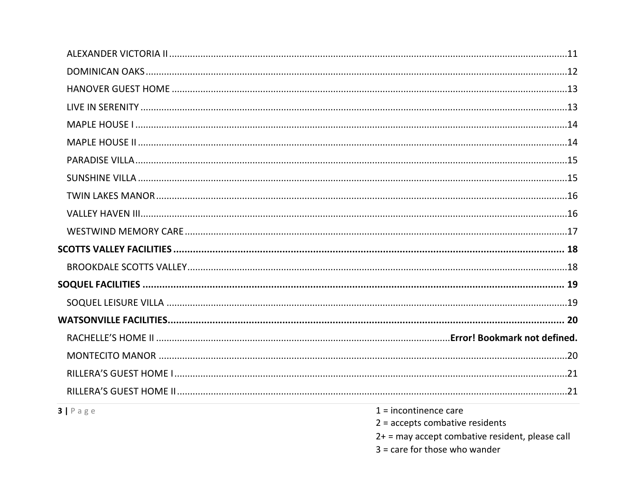| $3   P \text{age}$ | $1 =$ incontinence care                         |
|--------------------|-------------------------------------------------|
|                    | $2 =$ accepts combative residents               |
|                    | 2+ = may accept combative resident, please call |
|                    | $3 =$ care for those who wander                 |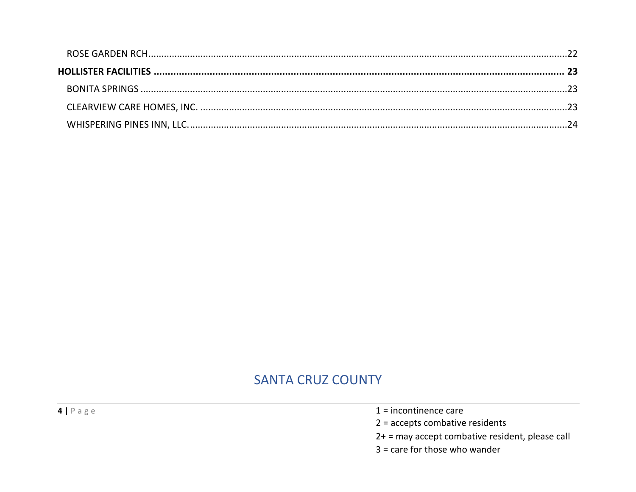## **SANTA CRUZ COUNTY**

 $4 | P \text{age}$ 

- $1 =$  incontinence care
- $2 =$  accepts combative residents
- 2+ = may accept combative resident, please call
- $3 =$  care for those who wander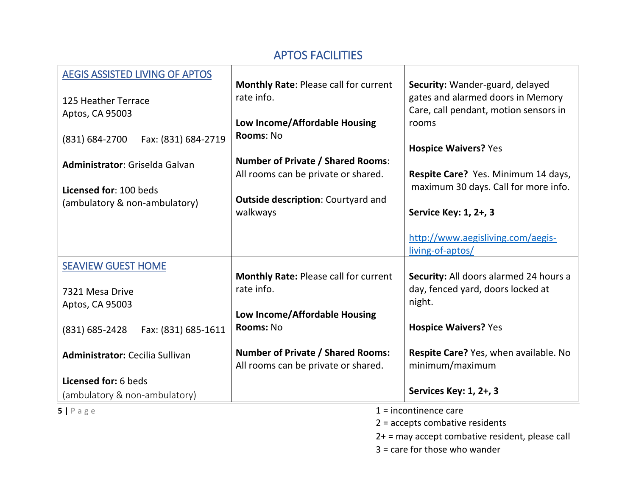#### APTOS FACILITIES

<span id="page-4-2"></span><span id="page-4-1"></span><span id="page-4-0"></span>

| <b>AEGIS ASSISTED LIVING OF APTOS</b><br>125 Heather Terrace<br>Aptos, CA 95003<br>Fax: (831) 684-2719<br>(831) 684-2700<br>Administrator: Griselda Galvan | <b>Monthly Rate: Please call for current</b><br>rate info.<br>Low Income/Affordable Housing<br>Rooms: No<br><b>Number of Private / Shared Rooms:</b><br>All rooms can be private or shared. | Security: Wander-guard, delayed<br>gates and alarmed doors in Memory<br>Care, call pendant, motion sensors in<br>rooms<br><b>Hospice Waivers? Yes</b><br>Respite Care? Yes. Minimum 14 days, |
|------------------------------------------------------------------------------------------------------------------------------------------------------------|---------------------------------------------------------------------------------------------------------------------------------------------------------------------------------------------|----------------------------------------------------------------------------------------------------------------------------------------------------------------------------------------------|
| Licensed for: 100 beds<br>(ambulatory & non-ambulatory)                                                                                                    | <b>Outside description: Courtyard and</b><br>walkways                                                                                                                                       | maximum 30 days. Call for more info.<br>Service Key: 1, 2+, 3<br>http://www.aegisliving.com/aegis-                                                                                           |
|                                                                                                                                                            |                                                                                                                                                                                             | living-of-aptos/                                                                                                                                                                             |
| <b>SEAVIEW GUEST HOME</b><br>7321 Mesa Drive<br>Aptos, CA 95003                                                                                            | Monthly Rate: Please call for current<br>rate info.                                                                                                                                         | Security: All doors alarmed 24 hours a<br>day, fenced yard, doors locked at<br>night.                                                                                                        |
| (831) 685-2428<br>Fax: (831) 685-1611                                                                                                                      | Low Income/Affordable Housing<br>Rooms: No                                                                                                                                                  | <b>Hospice Waivers? Yes</b>                                                                                                                                                                  |
| <b>Administrator: Cecilia Sullivan</b>                                                                                                                     | <b>Number of Private / Shared Rooms:</b><br>All rooms can be private or shared.                                                                                                             | Respite Care? Yes, when available. No<br>minimum/maximum                                                                                                                                     |
| Licensed for: 6 beds<br>(ambulatory & non-ambulatory)                                                                                                      |                                                                                                                                                                                             | Services Key: 1, 2+, 3                                                                                                                                                                       |
| $5$   Page                                                                                                                                                 |                                                                                                                                                                                             | $1 =$ incontinence care                                                                                                                                                                      |

2 = accepts combative residents

2+ = may accept combative resident, please call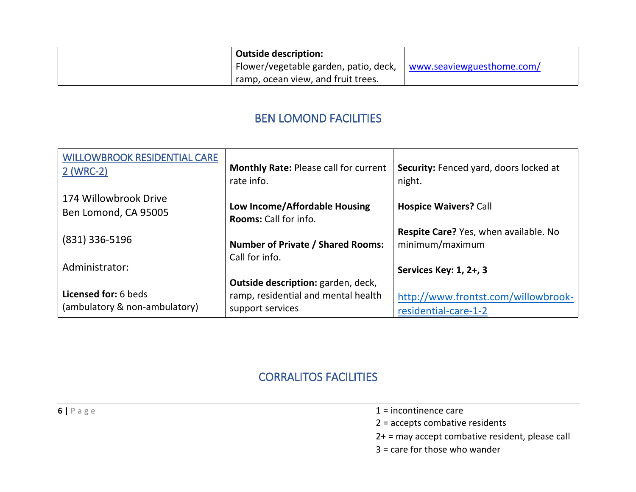|  | <b>Outside description:</b>                                     |  |
|--|-----------------------------------------------------------------|--|
|  | Flower/vegetable garden, patio, deck, www.seaviewguesthome.com/ |  |
|  | ramp, ocean view, and fruit trees.                              |  |

#### BEN LOMOND FACILITIES

<span id="page-5-1"></span><span id="page-5-0"></span>

| <b>WILLOWBROOK RESIDENTIAL CARE</b><br>2 (WRC-2)             | <b>Monthly Rate: Please call for current</b><br>rate info.                                    | Security: Fenced yard, doors locked at<br>night.            |
|--------------------------------------------------------------|-----------------------------------------------------------------------------------------------|-------------------------------------------------------------|
| 174 Willowbrook Drive<br>Ben Lomond, CA 95005                | Low Income/Affordable Housing<br><b>Rooms:</b> Call for info.                                 | <b>Hospice Waivers? Call</b>                                |
| $(831)$ 336-5196                                             | <b>Number of Private / Shared Rooms:</b><br>Call for info.                                    | Respite Care? Yes, when available. No<br>minimum/maximum    |
| Administrator:                                               |                                                                                               | Services Key: 1, 2+, 3                                      |
| <b>Licensed for: 6 beds</b><br>(ambulatory & non-ambulatory) | Outside description: garden, deck,<br>ramp, residential and mental health<br>support services | http://www.frontst.com/willowbrook-<br>residential-care-1-2 |

#### CORRALITOS FACILITIES

<span id="page-5-2"></span>**6**  $\vert$  **P** a g e **1** = incontinence care

- 2 = accepts combative residents
- 2+ = may accept combative resident, please call
- 3 = care for those who wander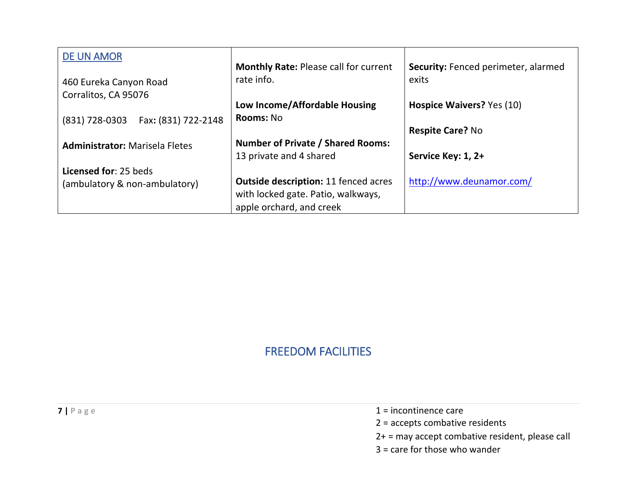<span id="page-6-0"></span>

| <b>DE UN AMOR</b>                     |                                              |                                     |
|---------------------------------------|----------------------------------------------|-------------------------------------|
|                                       | <b>Monthly Rate: Please call for current</b> | Security: Fenced perimeter, alarmed |
| 460 Eureka Canyon Road                | rate info.                                   | exits                               |
| Corralitos, CA 95076                  |                                              |                                     |
|                                       | Low Income/Affordable Housing                | Hospice Waivers? Yes (10)           |
| Fax: (831) 722-2148<br>(831) 728-0303 | <b>Rooms: No</b>                             |                                     |
|                                       |                                              | <b>Respite Care? No</b>             |
| <b>Administrator: Marisela Fletes</b> | <b>Number of Private / Shared Rooms:</b>     |                                     |
|                                       | 13 private and 4 shared                      | Service Key: 1, 2+                  |
| Licensed for: 25 beds                 |                                              |                                     |
| (ambulatory & non-ambulatory)         | <b>Outside description: 11 fenced acres</b>  | http://www.deunamor.com/            |
|                                       | with locked gate. Patio, walkways,           |                                     |
|                                       | apple orchard, and creek                     |                                     |

## FREEDOM FACILITIES

|  | TNEEDUIVI FAUILI HES |  |
|--|----------------------|--|
|  |                      |  |
|  |                      |  |

- <span id="page-6-1"></span>**7** | P a g e 1 = incontinence care
	- 2 = accepts combative residents
	- 2+ = may accept combative resident, please call
	- 3 = care for those who wander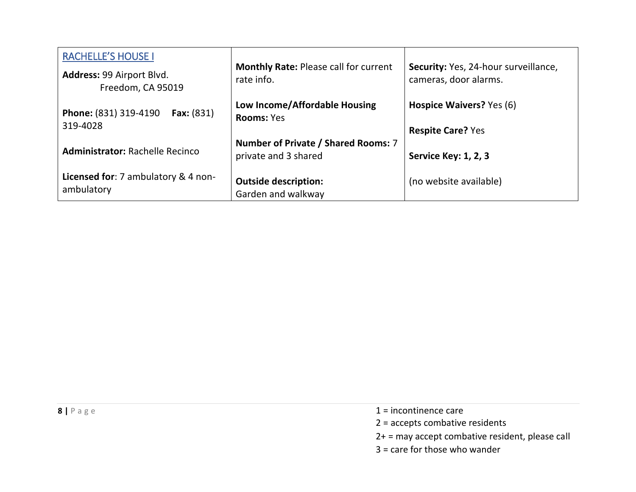<span id="page-7-0"></span>

| <b>RACHELLE'S HOUSE I</b>                                |                                                            |                                                               |
|----------------------------------------------------------|------------------------------------------------------------|---------------------------------------------------------------|
| Address: 99 Airport Blvd.<br>Freedom, CA 95019           | <b>Monthly Rate: Please call for current</b><br>rate info. | Security: Yes, 24-hour surveillance,<br>cameras, door alarms. |
| Phone: (831) 319-4190<br><b>Fax:</b> $(831)$<br>319-4028 | Low Income/Affordable Housing<br><b>Rooms: Yes</b>         | Hospice Waivers? Yes (6)                                      |
|                                                          |                                                            | <b>Respite Care? Yes</b>                                      |
|                                                          | Number of Private / Shared Rooms: 7                        |                                                               |
| <b>Administrator: Rachelle Recinco</b>                   | private and 3 shared                                       | <b>Service Key: 1, 2, 3</b>                                   |
| Licensed for: 7 ambulatory & 4 non-<br>ambulatory        | <b>Outside description:</b>                                | (no website available)                                        |
|                                                          | Garden and walkway                                         |                                                               |

- **8**  $\vert$  P a g e 1 = incontinence care
	- 2 = accepts combative residents
	- 2+ = may accept combative resident, please call
	- 3 = care for those who wander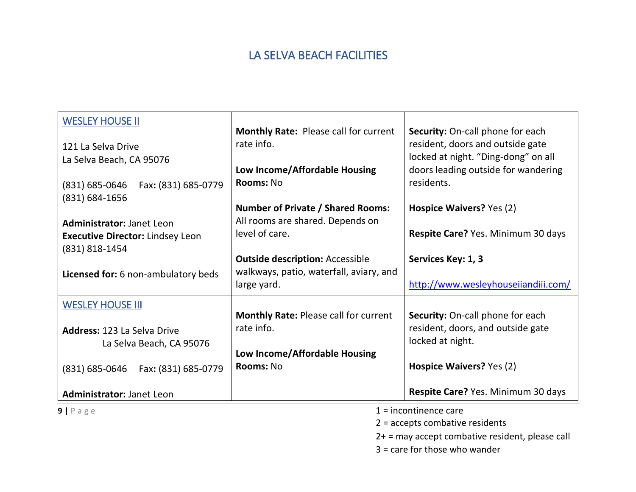## LA SELVA BEACH FACILITIES

<span id="page-8-0"></span>

| <b>WESLEY HOUSE II</b>                    | Monthly Rate: Please call for current        | <b>Security:</b> On-call phone for each |
|-------------------------------------------|----------------------------------------------|-----------------------------------------|
| 121 La Selva Drive                        | rate info.                                   | resident, doors and outside gate        |
| La Selva Beach, CA 95076                  |                                              | locked at night. "Ding-dong" on all     |
|                                           | Low Income/Affordable Housing                | doors leading outside for wandering     |
| (831) 685-0646<br>Fax: (831) 685-0779     | Rooms: No                                    | residents.                              |
| (831) 684-1656                            |                                              |                                         |
|                                           | <b>Number of Private / Shared Rooms:</b>     | Hospice Waivers? Yes (2)                |
| <b>Administrator: Janet Leon</b>          | All rooms are shared. Depends on             |                                         |
| <b>Executive Director: Lindsey Leon</b>   | level of care.                               | Respite Care? Yes. Minimum 30 days      |
| (831) 818-1454                            |                                              |                                         |
|                                           | <b>Outside description: Accessible</b>       | Services Key: 1, 3                      |
| Licensed for: 6 non-ambulatory beds       | walkways, patio, waterfall, aviary, and      |                                         |
|                                           | large yard.                                  | http://www.wesleyhouseiiandiii.com/     |
| <b>WESLEY HOUSE III</b>                   |                                              |                                         |
|                                           | <b>Monthly Rate: Please call for current</b> | Security: On-call phone for each        |
| <b>Address: 123 La Selva Drive</b>        | rate info.                                   | resident, doors, and outside gate       |
| La Selva Beach, CA 95076                  |                                              | locked at night.                        |
|                                           | Low Income/Affordable Housing                |                                         |
| $(831) 685 - 0646$<br>Fax: (831) 685-0779 | Rooms: No                                    | Hospice Waivers? Yes (2)                |
|                                           |                                              |                                         |
| Administrator: Janet Leon                 |                                              | Respite Care? Yes. Minimum 30 days      |
| $9   P \text{age}$                        |                                              | $1 =$ incontinence care                 |

<span id="page-8-1"></span>

2 = accepts combative residents

2+ = may accept combative resident, please call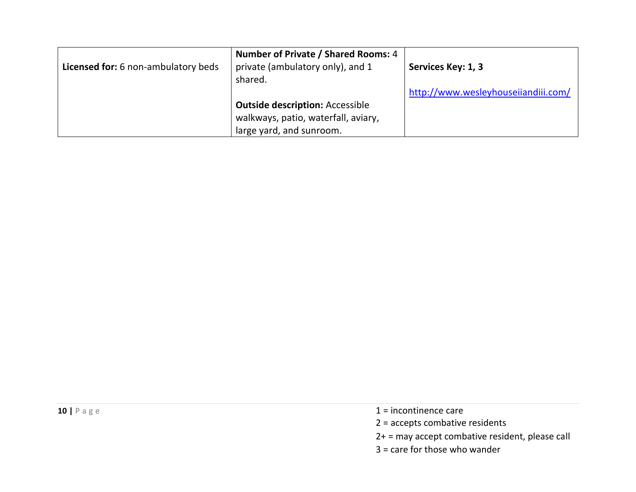| Licensed for: 6 non-ambulatory beds | Number of Private / Shared Rooms: 4<br>private (ambulatory only), and 1<br>shared. | Services Key: 1, 3                  |
|-------------------------------------|------------------------------------------------------------------------------------|-------------------------------------|
|                                     |                                                                                    | http://www.wesleyhouseiiandiii.com/ |
|                                     | <b>Outside description: Accessible</b>                                             |                                     |
|                                     | walkways, patio, waterfall, aviary,                                                |                                     |
|                                     | large yard, and sunroom.                                                           |                                     |

- **10**  $|$  **P** a g e **1** = incontinence care
	- 2 = accepts combative residents
	- 2+ = may accept combative resident, please call
	- 3 = care for those who wander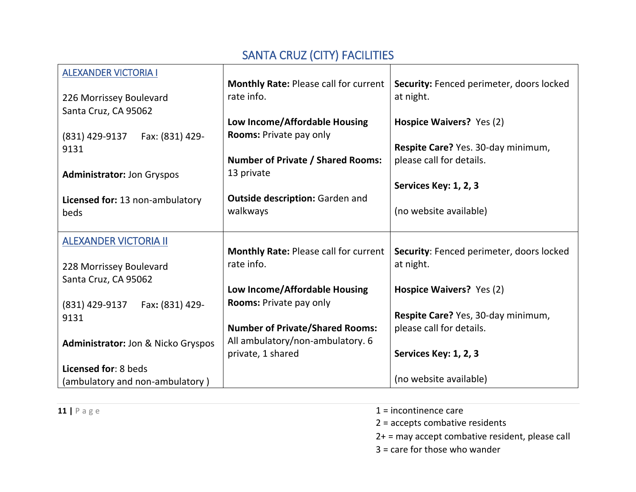# SANTA CRUZ (CITY) FACILITIES

<span id="page-10-2"></span><span id="page-10-1"></span><span id="page-10-0"></span>

| <b>ALEXANDER VICTORIA I</b>        |                                              |                                          |
|------------------------------------|----------------------------------------------|------------------------------------------|
|                                    | <b>Monthly Rate: Please call for current</b> | Security: Fenced perimeter, doors locked |
| 226 Morrissey Boulevard            | rate info.                                   | at night.                                |
| Santa Cruz, CA 95062               |                                              |                                          |
|                                    | Low Income/Affordable Housing                | Hospice Waivers? Yes (2)                 |
| Fax: (831) 429-<br>(831) 429-9137  | Rooms: Private pay only                      |                                          |
| 9131                               |                                              | Respite Care? Yes. 30-day minimum,       |
|                                    | <b>Number of Private / Shared Rooms:</b>     | please call for details.                 |
| <b>Administrator: Jon Gryspos</b>  | 13 private                                   |                                          |
|                                    |                                              | Services Key: 1, 2, 3                    |
| Licensed for: 13 non-ambulatory    | <b>Outside description: Garden and</b>       |                                          |
| beds                               | walkways                                     | (no website available)                   |
|                                    |                                              |                                          |
| <b>ALEXANDER VICTORIA II</b>       |                                              |                                          |
|                                    | <b>Monthly Rate: Please call for current</b> | Security: Fenced perimeter, doors locked |
| 228 Morrissey Boulevard            | rate info.                                   | at night.                                |
| Santa Cruz, CA 95062               |                                              |                                          |
|                                    | Low Income/Affordable Housing                | Hospice Waivers? Yes (2)                 |
|                                    | <b>Rooms: Private pay only</b>               |                                          |
| Fax: (831) 429-<br>(831) 429-9137  |                                              | Respite Care? Yes, 30-day minimum,       |
| 9131                               | <b>Number of Private/Shared Rooms:</b>       | please call for details.                 |
|                                    | All ambulatory/non-ambulatory. 6             |                                          |
| Administrator: Jon & Nicko Gryspos | private, 1 shared                            | Services Key: 1, 2, 3                    |
|                                    |                                              |                                          |
| Licensed for: 8 beds               |                                              | (no website available)                   |
| (ambulatory and non-ambulatory)    |                                              |                                          |

- **11**  $\vert$  **P** a g e **1** = incontinence care
	- 2 = accepts combative residents
	- 2+ = may accept combative resident, please call
	- 3 = care for those who wander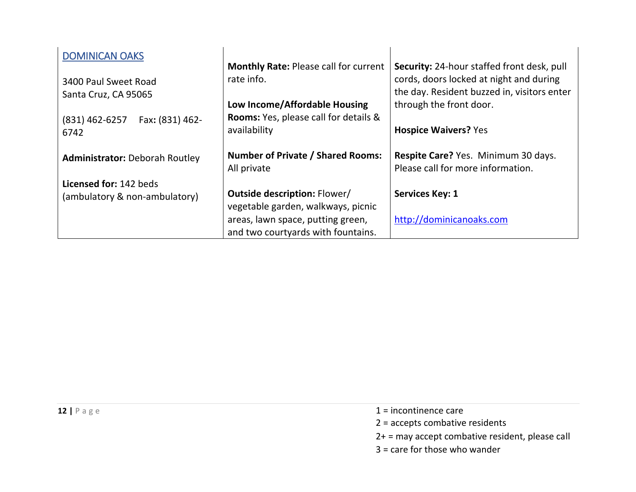<span id="page-11-0"></span>

| <b>DOMINICAN OAKS</b>                                   | <b>Monthly Rate: Please call for current</b>                              | <b>Security:</b> 24-hour staffed front desk, pull                                                                 |
|---------------------------------------------------------|---------------------------------------------------------------------------|-------------------------------------------------------------------------------------------------------------------|
| 3400 Paul Sweet Road<br>Santa Cruz, CA 95065            | rate info.<br>Low Income/Affordable Housing                               | cords, doors locked at night and during<br>the day. Resident buzzed in, visitors enter<br>through the front door. |
| Fax: (831) 462-<br>$(831)$ 462-6257<br>6742             | <b>Rooms:</b> Yes, please call for details &<br>availability              | <b>Hospice Waivers? Yes</b>                                                                                       |
| <b>Administrator: Deborah Routley</b>                   | <b>Number of Private / Shared Rooms:</b><br>All private                   | Respite Care? Yes. Minimum 30 days.<br>Please call for more information.                                          |
| Licensed for: 142 beds<br>(ambulatory & non-ambulatory) | <b>Outside description: Flower/</b><br>vegetable garden, walkways, picnic | <b>Services Key: 1</b>                                                                                            |
|                                                         | areas, lawn space, putting green,<br>and two courtyards with fountains.   | http://dominicanoaks.com                                                                                          |

- **12**  $\vert$  **P** a g e **1** = incontinence care
	- 2 = accepts combative residents
	- 2+ = may accept combative resident, please call
	- 3 = care for those who wander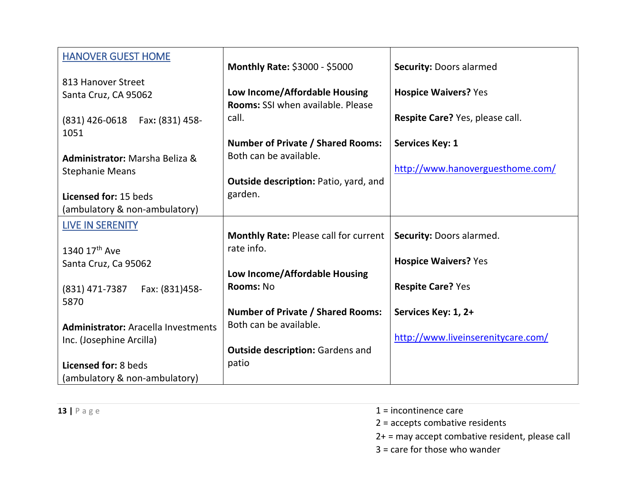<span id="page-12-1"></span><span id="page-12-0"></span>

| <b>HANOVER GUEST HOME</b>                  |                                              |                                    |
|--------------------------------------------|----------------------------------------------|------------------------------------|
|                                            | Monthly Rate: \$3000 - \$5000                | <b>Security: Doors alarmed</b>     |
| 813 Hanover Street                         |                                              |                                    |
| Santa Cruz, CA 95062                       | Low Income/Affordable Housing                | <b>Hospice Waivers? Yes</b>        |
|                                            | <b>Rooms: SSI when available. Please</b>     |                                    |
| (831) 426-0618  Fax: (831) 458-            | call.                                        | Respite Care? Yes, please call.    |
| 1051                                       |                                              |                                    |
|                                            | <b>Number of Private / Shared Rooms:</b>     | <b>Services Key: 1</b>             |
| Administrator: Marsha Beliza &             | Both can be available.                       |                                    |
| <b>Stephanie Means</b>                     |                                              | http://www.hanoverguesthome.com/   |
|                                            | <b>Outside description: Patio, yard, and</b> |                                    |
| Licensed for: 15 beds                      | garden.                                      |                                    |
| (ambulatory & non-ambulatory)              |                                              |                                    |
| <b>LIVE IN SERENITY</b>                    |                                              |                                    |
|                                            | Monthly Rate: Please call for current        | Security: Doors alarmed.           |
| 1340 17 <sup>th</sup> Ave                  | rate info.                                   |                                    |
| Santa Cruz, Ca 95062                       |                                              | <b>Hospice Waivers? Yes</b>        |
|                                            | Low Income/Affordable Housing                |                                    |
| (831) 471-7387<br>Fax: (831)458-           | Rooms: No                                    | <b>Respite Care? Yes</b>           |
| 5870                                       |                                              |                                    |
|                                            | <b>Number of Private / Shared Rooms:</b>     | Services Key: 1, 2+                |
| <b>Administrator: Aracella Investments</b> | Both can be available.                       |                                    |
| Inc. (Josephine Arcilla)                   |                                              | http://www.liveinserenitycare.com/ |
|                                            | <b>Outside description: Gardens and</b>      |                                    |
| Licensed for: 8 beds                       | patio                                        |                                    |
| (ambulatory & non-ambulatory)              |                                              |                                    |

**13**  $\vert$  P a g e 1 = incontinence care

2 = accepts combative residents

2+ = may accept combative resident, please call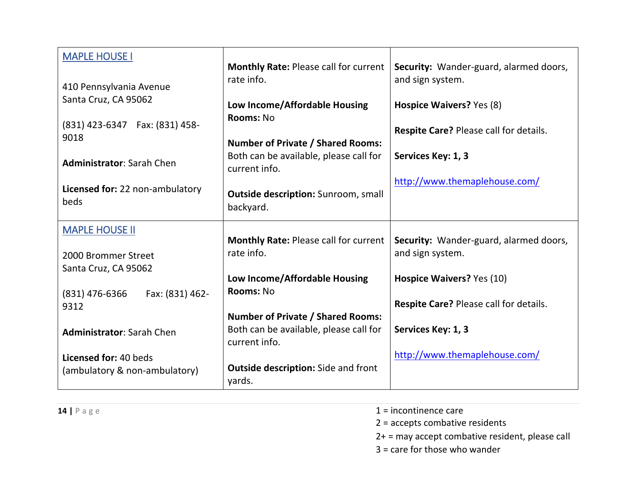<span id="page-13-1"></span><span id="page-13-0"></span>

| <b>MAPLE HOUSE I</b>                    | <b>Monthly Rate: Please call for current</b>            | Security: Wander-guard, alarmed doors,        |
|-----------------------------------------|---------------------------------------------------------|-----------------------------------------------|
|                                         | rate info.                                              | and sign system.                              |
| 410 Pennsylvania Avenue                 |                                                         |                                               |
| Santa Cruz, CA 95062                    | Low Income/Affordable Housing                           | Hospice Waivers? Yes (8)                      |
| (831) 423-6347  Fax: (831) 458-         | Rooms: No                                               |                                               |
| 9018                                    |                                                         | <b>Respite Care? Please call for details.</b> |
|                                         | <b>Number of Private / Shared Rooms:</b>                |                                               |
| <b>Administrator: Sarah Chen</b>        | Both can be available, please call for<br>current info. | Services Key: 1, 3                            |
|                                         |                                                         | http://www.themaplehouse.com/                 |
| Licensed for: 22 non-ambulatory<br>beds | <b>Outside description: Sunroom, small</b><br>backyard. |                                               |
| <b>MAPLE HOUSE II</b>                   |                                                         |                                               |
|                                         | <b>Monthly Rate: Please call for current</b>            | Security: Wander-guard, alarmed doors,        |
| 2000 Brommer Street                     | rate info.                                              | and sign system.                              |
| Santa Cruz, CA 95062                    |                                                         |                                               |
|                                         | Low Income/Affordable Housing<br>Rooms: No              | Hospice Waivers? Yes (10)                     |
| $(831)$ 476-6366<br>Fax: (831) 462-     |                                                         | <b>Respite Care? Please call for details.</b> |
| 9312                                    | <b>Number of Private / Shared Rooms:</b>                |                                               |
| <b>Administrator: Sarah Chen</b>        | Both can be available, please call for                  | Services Key: 1, 3                            |
|                                         | current info.                                           |                                               |
| Licensed for: 40 beds                   |                                                         | http://www.themaplehouse.com/                 |
| (ambulatory & non-ambulatory)           | <b>Outside description:</b> Side and front<br>yards.    |                                               |

- **14**  $\vert$  P a g e **1** = incontinence care
	- 2 = accepts combative residents
	- 2+ = may accept combative resident, please call
	- 3 = care for those who wander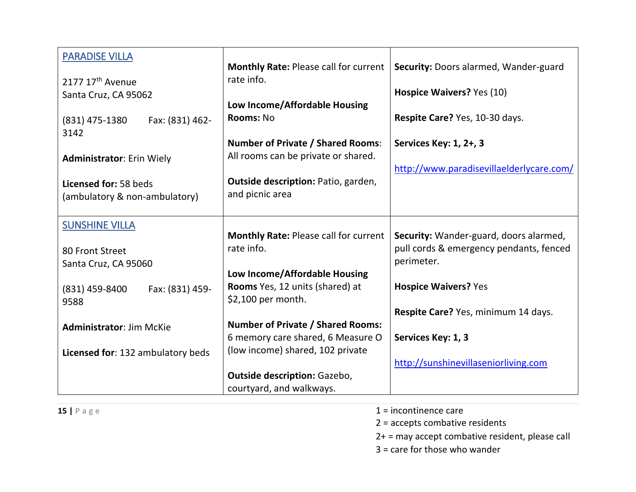<span id="page-14-1"></span><span id="page-14-0"></span>

| <b>PARADISE VILLA</b>             |                                                       |                                          |
|-----------------------------------|-------------------------------------------------------|------------------------------------------|
|                                   | <b>Monthly Rate: Please call for current</b>          | Security: Doors alarmed, Wander-guard    |
| 2177 17 <sup>th</sup> Avenue      | rate info.                                            |                                          |
| Santa Cruz, CA 95062              |                                                       | Hospice Waivers? Yes (10)                |
|                                   | Low Income/Affordable Housing<br>Rooms: No            |                                          |
| (831) 475-1380<br>Fax: (831) 462- |                                                       | Respite Care? Yes, 10-30 days.           |
| 3142                              | <b>Number of Private / Shared Rooms:</b>              | Services Key: 1, 2+, 3                   |
| <b>Administrator: Erin Wiely</b>  | All rooms can be private or shared.                   |                                          |
|                                   |                                                       | http://www.paradisevillaelderlycare.com/ |
| Licensed for: 58 beds             | <b>Outside description: Patio, garden,</b>            |                                          |
| (ambulatory & non-ambulatory)     | and picnic area                                       |                                          |
|                                   |                                                       |                                          |
| <b>SUNSHINE VILLA</b>             |                                                       |                                          |
|                                   | <b>Monthly Rate: Please call for current</b>          | Security: Wander-guard, doors alarmed,   |
| 80 Front Street                   | rate info.                                            | pull cords & emergency pendants, fenced  |
| Santa Cruz, CA 95060              |                                                       | perimeter.                               |
|                                   | Low Income/Affordable Housing                         |                                          |
| Fax: (831) 459-<br>(831) 459-8400 | Rooms Yes, 12 units (shared) at<br>\$2,100 per month. | <b>Hospice Waivers? Yes</b>              |
| 9588                              |                                                       | Respite Care? Yes, minimum 14 days.      |
| <b>Administrator: Jim McKie</b>   | <b>Number of Private / Shared Rooms:</b>              |                                          |
|                                   | 6 memory care shared, 6 Measure O                     | Services Key: 1, 3                       |
| Licensed for: 132 ambulatory beds | (low income) shared, 102 private                      |                                          |
|                                   |                                                       | http://sunshinevillaseniorliving.com     |
|                                   | <b>Outside description: Gazebo,</b>                   |                                          |
|                                   | courtyard, and walkways.                              |                                          |

- **15**  $\vert$  **P** a g e **1** = incontinence care
	- 2 = accepts combative residents
	- 2+ = may accept combative resident, please call
	- 3 = care for those who wander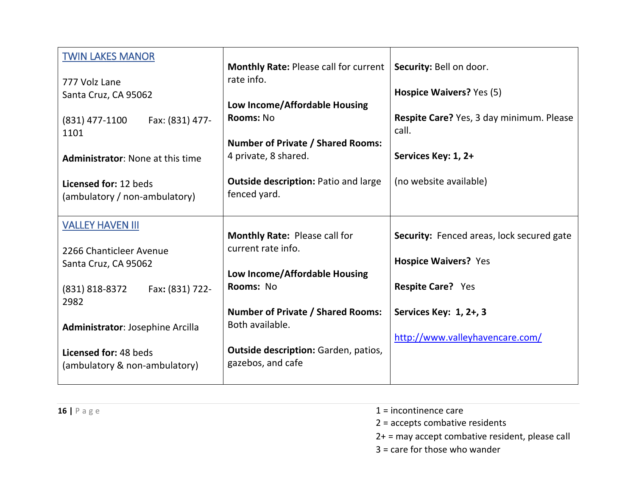<span id="page-15-1"></span><span id="page-15-0"></span>

| <b>TWIN LAKES MANOR</b><br>777 Volz Lane<br>Santa Cruz, CA 95062<br>Fax: (831) 477-<br>$(831)$ 477-1100<br>1101<br><b>Administrator: None at this time</b> | <b>Monthly Rate: Please call for current</b><br>rate info.<br>Low Income/Affordable Housing<br>Rooms: No<br><b>Number of Private / Shared Rooms:</b><br>4 private, 8 shared. | Security: Bell on door.<br>Hospice Waivers? Yes (5)<br>Respite Care? Yes, 3 day minimum. Please<br>call.<br>Services Key: 1, 2+ |
|------------------------------------------------------------------------------------------------------------------------------------------------------------|------------------------------------------------------------------------------------------------------------------------------------------------------------------------------|---------------------------------------------------------------------------------------------------------------------------------|
| Licensed for: 12 beds<br>(ambulatory / non-ambulatory)                                                                                                     | <b>Outside description: Patio and large</b><br>fenced yard.                                                                                                                  | (no website available)                                                                                                          |
| <b>VALLEY HAVEN III</b><br>2266 Chanticleer Avenue<br>Santa Cruz, CA 95062<br>Fax: (831) 722-<br>(831) 818-8372<br>2982                                    | <b>Monthly Rate: Please call for</b><br>current rate info.<br>Low Income/Affordable Housing<br>Rooms: No                                                                     | Security: Fenced areas, lock secured gate<br><b>Hospice Waivers? Yes</b><br><b>Respite Care?</b> Yes                            |
| Administrator: Josephine Arcilla<br>Licensed for: 48 beds<br>(ambulatory & non-ambulatory)                                                                 | <b>Number of Private / Shared Rooms:</b><br>Both available.<br><b>Outside description: Garden, patios,</b><br>gazebos, and cafe                                              | Services Key: 1, 2+, 3<br>http://www.valleyhavencare.com/                                                                       |

- **16**  $\vert$  **P** a g e **1** = incontinence care
	- 2 = accepts combative residents
	- 2+ = may accept combative resident, please call
	- 3 = care for those who wander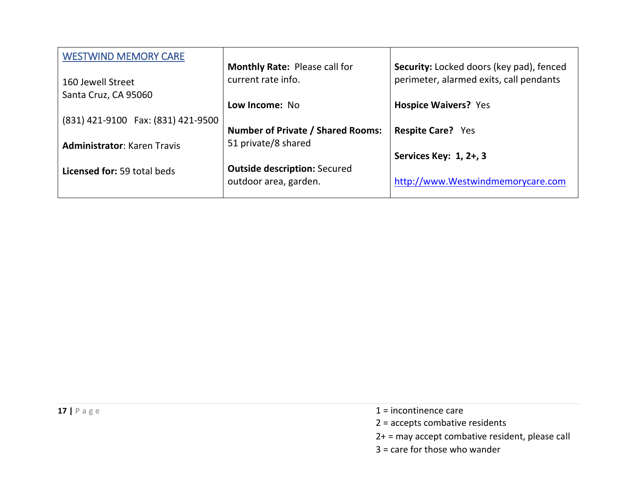<span id="page-16-0"></span>

| <b>WESTWIND MEMORY CARE</b>        |                                          |                                          |
|------------------------------------|------------------------------------------|------------------------------------------|
|                                    | <b>Monthly Rate: Please call for</b>     | Security: Locked doors (key pad), fenced |
| 160 Jewell Street                  | current rate info.                       | perimeter, alarmed exits, call pendants  |
| Santa Cruz, CA 95060               |                                          |                                          |
|                                    | Low Income: No                           | <b>Hospice Waivers? Yes</b>              |
| (831) 421-9100 Fax: (831) 421-9500 |                                          |                                          |
|                                    | <b>Number of Private / Shared Rooms:</b> | <b>Respite Care?</b> Yes                 |
| <b>Administrator: Karen Travis</b> | 51 private/8 shared                      |                                          |
|                                    |                                          | Services Key: 1, 2+, 3                   |
| <b>Licensed for: 59 total beds</b> | <b>Outside description: Secured</b>      |                                          |
|                                    | outdoor area, garden.                    | http://www.Westwindmemorycare.com        |
|                                    |                                          |                                          |

- **17**  $\vert$  **P** a g e **1** = incontinence care
	- 2 = accepts combative residents
	- 2+ = may accept combative resident, please call
	- 3 = care for those who wander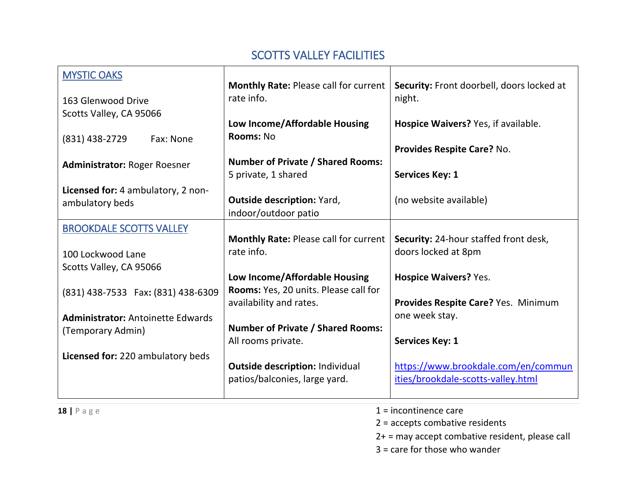#### SCOTTS VALLEY FACILITIES

<span id="page-17-1"></span><span id="page-17-0"></span>

| <b>MYSTIC OAKS</b>                       |                                              |                                           |
|------------------------------------------|----------------------------------------------|-------------------------------------------|
|                                          | <b>Monthly Rate: Please call for current</b> | Security: Front doorbell, doors locked at |
| 163 Glenwood Drive                       | rate info.                                   | night.                                    |
| Scotts Valley, CA 95066                  |                                              |                                           |
|                                          | Low Income/Affordable Housing                | Hospice Waivers? Yes, if available.       |
| (831) 438-2729<br>Fax: None              | Rooms: No                                    |                                           |
|                                          |                                              | Provides Respite Care? No.                |
| <b>Administrator: Roger Roesner</b>      | <b>Number of Private / Shared Rooms:</b>     |                                           |
|                                          | 5 private, 1 shared                          | <b>Services Key: 1</b>                    |
| Licensed for: 4 ambulatory, 2 non-       | <b>Outside description: Yard,</b>            | (no website available)                    |
| ambulatory beds                          | indoor/outdoor patio                         |                                           |
|                                          |                                              |                                           |
| <b>BROOKDALE SCOTTS VALLEY</b>           | <b>Monthly Rate: Please call for current</b> | Security: 24-hour staffed front desk,     |
| 100 Lockwood Lane                        | rate info.                                   | doors locked at 8pm                       |
| Scotts Valley, CA 95066                  |                                              |                                           |
|                                          | Low Income/Affordable Housing                | <b>Hospice Waivers? Yes.</b>              |
| (831) 438-7533  Fax: (831) 438-6309      | Rooms: Yes, 20 units. Please call for        |                                           |
|                                          | availability and rates.                      | Provides Respite Care? Yes. Minimum       |
| <b>Administrator: Antoinette Edwards</b> |                                              | one week stay.                            |
| (Temporary Admin)                        | <b>Number of Private / Shared Rooms:</b>     |                                           |
|                                          | All rooms private.                           | <b>Services Key: 1</b>                    |
| Licensed for: 220 ambulatory beds        |                                              |                                           |
|                                          | <b>Outside description: Individual</b>       | https://www.brookdale.com/en/commun       |
|                                          | patios/balconies, large yard.                | ities/brookdale-scotts-valley.html        |
| $18$   Page                              |                                              | $1 =$ incontinence care                   |
|                                          |                                              |                                           |

- 
- 2 = accepts combative residents
- 2+ = may accept combative resident, please call
- 3 = care for those who wander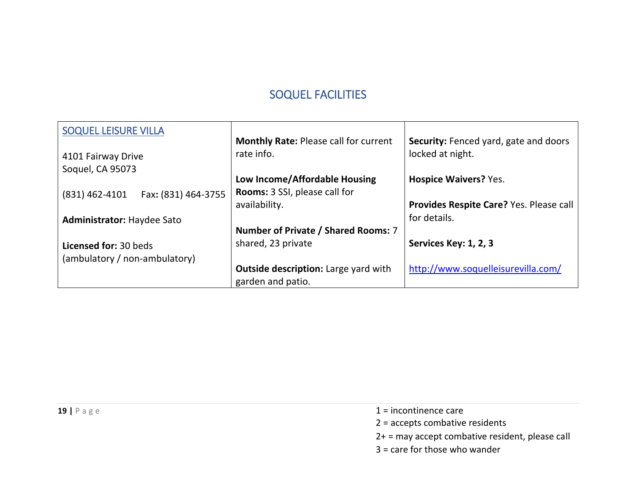#### SOQUEL FACILITIES

<span id="page-18-1"></span><span id="page-18-0"></span>

| <b>SOQUEL LEISURE VILLA</b>             |                                              |                                              |
|-----------------------------------------|----------------------------------------------|----------------------------------------------|
|                                         | <b>Monthly Rate: Please call for current</b> | <b>Security:</b> Fenced yard, gate and doors |
| 4101 Fairway Drive                      | rate info.                                   | locked at night.                             |
| Soquel, CA 95073                        |                                              |                                              |
|                                         | Low Income/Affordable Housing                | <b>Hospice Waivers? Yes.</b>                 |
| Fax: (831) 464-3755<br>$(831)$ 462-4101 | <b>Rooms:</b> 3 SSI, please call for         |                                              |
|                                         | availability.                                | Provides Respite Care? Yes. Please call      |
| <b>Administrator: Haydee Sato</b>       |                                              | for details.                                 |
|                                         | Number of Private / Shared Rooms: 7          |                                              |
| Licensed for: 30 beds                   | shared, 23 private                           | Services Key: 1, 2, 3                        |
| (ambulatory / non-ambulatory)           |                                              |                                              |
|                                         | <b>Outside description:</b> Large yard with  | http://www.soquelleisurevilla.com/           |
|                                         | garden and patio.                            |                                              |

- **19**  $\vert$  **P** a g e **1** = incontinence care
	- 2 = accepts combative residents
	- 2+ = may accept combative resident, please call
	- 3 = care for those who wander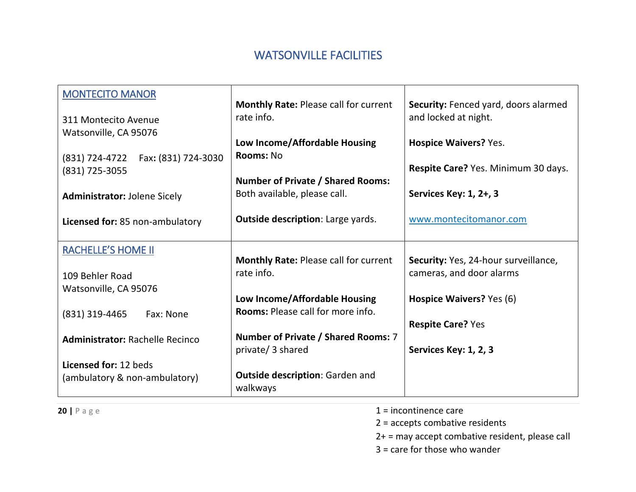#### WATSONVILLE FACILITIES

<span id="page-19-1"></span><span id="page-19-0"></span>

| <b>MONTECITO MANOR</b>                                 | <b>Monthly Rate: Please call for current</b>               | Security: Fenced yard, doors alarmed                             |
|--------------------------------------------------------|------------------------------------------------------------|------------------------------------------------------------------|
| 311 Montecito Avenue                                   | rate info.                                                 | and locked at night.                                             |
| Watsonville, CA 95076                                  |                                                            |                                                                  |
|                                                        | Low Income/Affordable Housing                              | <b>Hospice Waivers? Yes.</b>                                     |
| Fax: (831) 724-3030<br>(831) 724-4722                  | Rooms: No                                                  | Respite Care? Yes. Minimum 30 days.                              |
| (831) 725-3055                                         | <b>Number of Private / Shared Rooms:</b>                   |                                                                  |
| <b>Administrator: Jolene Sicely</b>                    | Both available, please call.                               | Services Key: 1, 2+, 3                                           |
| Licensed for: 85 non-ambulatory                        | <b>Outside description: Large yards.</b>                   | www.montecitomanor.com                                           |
| <b>RACHELLE'S HOME II</b>                              |                                                            |                                                                  |
|                                                        | <b>Monthly Rate: Please call for current</b><br>rate info. | Security: Yes, 24-hour surveillance,<br>cameras, and door alarms |
| 109 Behler Road<br>Watsonville, CA 95076               |                                                            |                                                                  |
|                                                        | Low Income/Affordable Housing                              | Hospice Waivers? Yes (6)                                         |
| (831) 319-4465<br>Fax: None                            | <b>Rooms: Please call for more info.</b>                   |                                                                  |
|                                                        |                                                            | <b>Respite Care? Yes</b>                                         |
| <b>Administrator: Rachelle Recinco</b>                 | Number of Private / Shared Rooms: 7                        |                                                                  |
|                                                        | private/ 3 shared                                          | Services Key: 1, 2, 3                                            |
| Licensed for: 12 beds<br>(ambulatory & non-ambulatory) | <b>Outside description: Garden and</b><br>walkways         |                                                                  |

**20**  $|$  **P** a g e 1 = incontinence care

2 = accepts combative residents

2+ = may accept combative resident, please call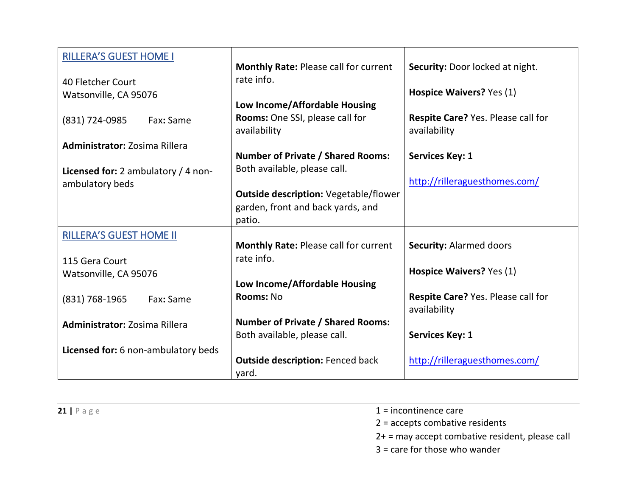<span id="page-20-1"></span><span id="page-20-0"></span>

| <b>RILLERA'S GUEST HOME I</b>                          |                                                                          |                                                           |
|--------------------------------------------------------|--------------------------------------------------------------------------|-----------------------------------------------------------|
|                                                        | <b>Monthly Rate: Please call for current</b><br>rate info.               | Security: Door locked at night.                           |
| 40 Fletcher Court<br>Watsonville, CA 95076             |                                                                          | Hospice Waivers? Yes (1)                                  |
|                                                        | Low Income/Affordable Housing                                            |                                                           |
| (831) 724-0985<br>Fax: Same                            | Rooms: One SSI, please call for<br>availability                          | <b>Respite Care? Yes. Please call for</b><br>availability |
| <b>Administrator: Zosima Rillera</b>                   |                                                                          |                                                           |
|                                                        | <b>Number of Private / Shared Rooms:</b><br>Both available, please call. | <b>Services Key: 1</b>                                    |
| Licensed for: 2 ambulatory / 4 non-<br>ambulatory beds |                                                                          | http://rilleraguesthomes.com/                             |
|                                                        | <b>Outside description: Vegetable/flower</b>                             |                                                           |
|                                                        | garden, front and back yards, and                                        |                                                           |
|                                                        | patio.                                                                   |                                                           |
| <b>RILLERA'S GUEST HOME II</b>                         |                                                                          |                                                           |
|                                                        | <b>Monthly Rate: Please call for current</b>                             | <b>Security: Alarmed doors</b>                            |
| 115 Gera Court                                         | rate info.                                                               |                                                           |
| Watsonville, CA 95076                                  |                                                                          | Hospice Waivers? Yes (1)                                  |
|                                                        | Low Income/Affordable Housing                                            |                                                           |
| (831) 768-1965<br>Fax: Same                            | Rooms: No                                                                | Respite Care? Yes. Please call for<br>availability        |
| <b>Administrator: Zosima Rillera</b>                   | <b>Number of Private / Shared Rooms:</b>                                 |                                                           |
|                                                        | Both available, please call.                                             | <b>Services Key: 1</b>                                    |
| Licensed for: 6 non-ambulatory beds                    |                                                                          |                                                           |
|                                                        | <b>Outside description: Fenced back</b>                                  | http://rilleraguesthomes.com/                             |
|                                                        | yard.                                                                    |                                                           |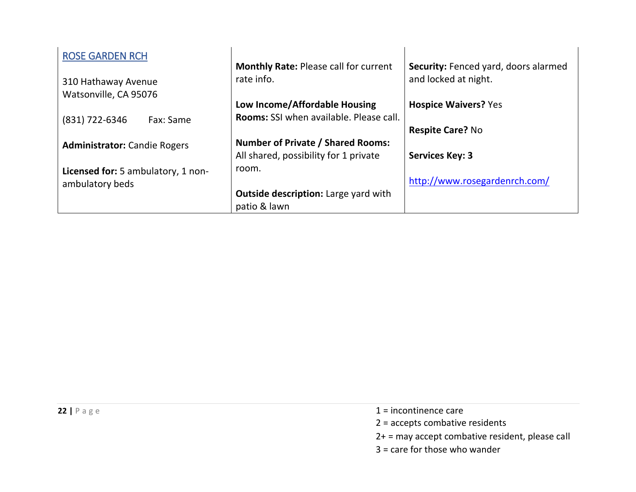<span id="page-21-0"></span>

| <b>ROSE GARDEN RCH</b>              |                                                            |                                                              |
|-------------------------------------|------------------------------------------------------------|--------------------------------------------------------------|
| 310 Hathaway Avenue                 | <b>Monthly Rate: Please call for current</b><br>rate info. | Security: Fenced yard, doors alarmed<br>and locked at night. |
| Watsonville, CA 95076               | Low Income/Affordable Housing                              | <b>Hospice Waivers? Yes</b>                                  |
| (831) 722-6346<br>Fax: Same         | Rooms: SSI when available. Please call.                    |                                                              |
|                                     | <b>Number of Private / Shared Rooms:</b>                   | <b>Respite Care? No</b>                                      |
| <b>Administrator:</b> Candie Rogers | All shared, possibility for 1 private                      | <b>Services Key: 3</b>                                       |
| Licensed for: 5 ambulatory, 1 non-  | room.                                                      |                                                              |
| ambulatory beds                     |                                                            | http://www.rosegardenrch.com/                                |
|                                     | <b>Outside description:</b> Large yard with                |                                                              |
|                                     | patio & lawn                                               |                                                              |

- **22**  $\vert$  P a g e 1 = incontinence care
	- 2 = accepts combative residents
	- 2+ = may accept combative resident, please call
	- 3 = care for those who wander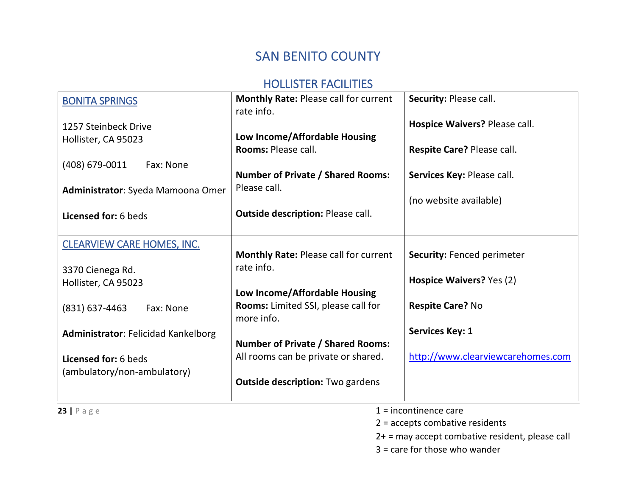# SAN BENITO COUNTY

#### HOLLISTER FACILITIES

<span id="page-22-2"></span><span id="page-22-1"></span><span id="page-22-0"></span>

| <b>BONITA SPRINGS</b>                      | <b>Monthly Rate: Please call for current</b> | Security: Please call.            |
|--------------------------------------------|----------------------------------------------|-----------------------------------|
|                                            | rate info.                                   |                                   |
| 1257 Steinbeck Drive                       |                                              | Hospice Waivers? Please call.     |
| Hollister, CA 95023                        | Low Income/Affordable Housing                |                                   |
|                                            | Rooms: Please call.                          | Respite Care? Please call.        |
| (408) 679-0011<br>Fax: None                |                                              |                                   |
|                                            | <b>Number of Private / Shared Rooms:</b>     | Services Key: Please call.        |
| Administrator: Syeda Mamoona Omer          | Please call.                                 |                                   |
|                                            |                                              | (no website available)            |
| Licensed for: 6 beds                       | <b>Outside description: Please call.</b>     |                                   |
|                                            |                                              |                                   |
| <b>CLEARVIEW CARE HOMES, INC.</b>          |                                              |                                   |
|                                            | <b>Monthly Rate: Please call for current</b> | <b>Security: Fenced perimeter</b> |
| 3370 Cienega Rd.                           | rate info.                                   |                                   |
| Hollister, CA 95023                        |                                              | Hospice Waivers? Yes (2)          |
|                                            | Low Income/Affordable Housing                |                                   |
| (831) 637-4463<br>Fax: None                | Rooms: Limited SSI, please call for          | <b>Respite Care? No</b>           |
|                                            | more info.                                   |                                   |
| <b>Administrator: Felicidad Kankelborg</b> |                                              | <b>Services Key: 1</b>            |
|                                            | <b>Number of Private / Shared Rooms:</b>     |                                   |
| Licensed for: 6 beds                       | All rooms can be private or shared.          | http://www.clearviewcarehomes.com |
| (ambulatory/non-ambulatory)                |                                              |                                   |
|                                            | <b>Outside description: Two gardens</b>      |                                   |
|                                            |                                              |                                   |

**23**  $\vert$  P a g e 1 = incontinence care

2 = accepts combative residents

2+ = may accept combative resident, please call